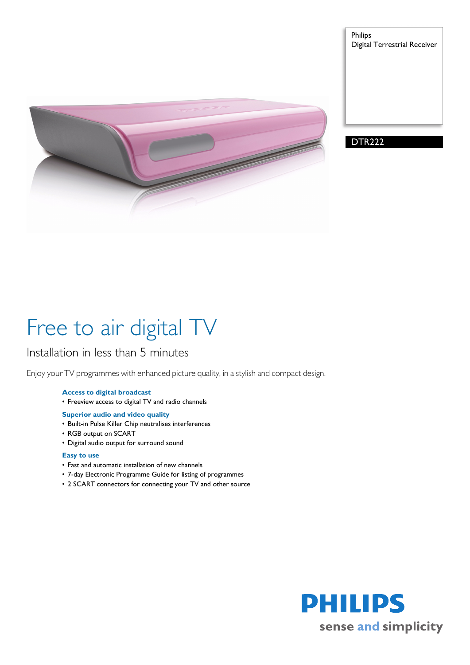

Philips Digital Terrestrial Receiver



# Free to air digital TV

### Installation in less than 5 minutes

Enjoy your TV programmes with enhanced picture quality, in a stylish and compact design.

#### **Access to digital broadcast**

- Freeview access to digital TV and radio channels
- **Superior audio and video quality**
- Built-in Pulse Killer Chip neutralises interferences
- RGB output on SCART
- Digital audio output for surround sound

#### **Easy to use**

- Fast and automatic installation of new channels
- 7-day Electronic Programme Guide for listing of programmes
- 2 SCART connectors for connecting your TV and other source